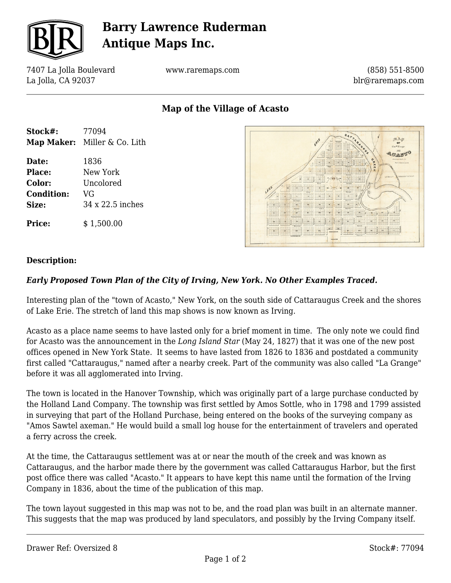

# **Barry Lawrence Ruderman Antique Maps Inc.**

7407 La Jolla Boulevard La Jolla, CA 92037

www.raremaps.com

(858) 551-8500 blr@raremaps.com

## **Map of the Village of Acasto**

| Stock#:           | 77094                        |
|-------------------|------------------------------|
|                   | Map Maker: Miller & Co. Lith |
| Date:             | 1836                         |
| <b>Place:</b>     | New York                     |
| Color:            | Uncolored                    |
| <b>Condition:</b> | VG                           |
| Size:             | 34 x 22.5 inches             |
| <b>Price:</b>     | \$1,500.00                   |



### **Description:**

### *Early Proposed Town Plan of the City of Irving, New York. No Other Examples Traced.*

Interesting plan of the "town of Acasto," New York, on the south side of Cattaraugus Creek and the shores of Lake Erie. The stretch of land this map shows is now known as Irving.

Acasto as a place name seems to have lasted only for a brief moment in time. The only note we could find for Acasto was the announcement in the *Long Island Star* (May 24, 1827) that it was one of the new post offices opened in New York State. It seems to have lasted from 1826 to 1836 and postdated a community first called "Cattaraugus," named after a nearby creek. Part of the community was also called "La Grange" before it was all agglomerated into Irving.

The town is located in the Hanover Township, which was originally part of a large purchase conducted by the Holland Land Company. The township was first settled by Amos Sottle, who in 1798 and 1799 assisted in surveying that part of the Holland Purchase, being entered on the books of the surveying company as "Amos Sawtel axeman." He would build a small log house for the entertainment of travelers and operated a ferry across the creek.

At the time, the Cattaraugus settlement was at or near the mouth of the creek and was known as Cattaraugus, and the harbor made there by the government was called Cattaraugus Harbor, but the first post office there was called "Acasto." It appears to have kept this name until the formation of the Irving Company in 1836, about the time of the publication of this map.

The town layout suggested in this map was not to be, and the road plan was built in an alternate manner. This suggests that the map was produced by land speculators, and possibly by the Irving Company itself.